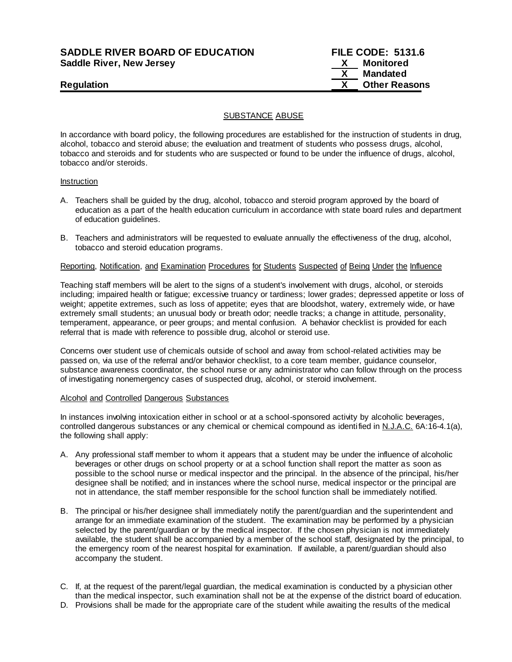# **SADDLE RIVER BOARD OF EDUCATION FILE CODE: 5131.6 Saddle River, New Jersey X Monitored**

 **X Mandated Regulation X Other Reasons**

## SUBSTANCE ABUSE

In accordance with board policy, the following procedures are established for the instruction of students in drug, alcohol, tobacco and steroid abuse; the evaluation and treatment of students who possess drugs, alcohol, tobacco and steroids and for students who are suspected or found to be under the influence of drugs, alcohol, tobacco and/or steroids.

### Instruction

- A. Teachers shall be guided by the drug, alcohol, tobacco and steroid program approved by the board of education as a part of the health education curriculum in accordance with state board rules and department of education guidelines.
- B. Teachers and administrators will be requested to evaluate annually the effectiveness of the drug, alcohol, tobacco and steroid education programs.

## Reporting, Notification, and Examination Procedures for Students Suspected of Being Under the Influence

Teaching staff members will be alert to the signs of a student's involvement with drugs, alcohol, or steroids including; impaired health or fatigue; excessive truancy or tardiness; lower grades; depressed appetite or loss of weight; appetite extremes, such as loss of appetite; eyes that are bloodshot, watery, extremely wide, or have extremely small students; an unusual body or breath odor; needle tracks; a change in attitude, personality, temperament, appearance, or peer groups; and mental confusion. A behavior checklist is provided for each referral that is made with reference to possible drug, alcohol or steroid use.

Concerns over student use of chemicals outside of school and away from school-related activities may be passed on, via use of the referral and/or behavior checklist, to a core team member, guidance counselor, substance awareness coordinator, the school nurse or any administrator who can follow through on the process of investigating nonemergency cases of suspected drug, alcohol, or steroid involvement.

### Alcohol and Controlled Dangerous Substances

In instances involving intoxication either in school or at a school-sponsored activity by alcoholic beverages, controlled dangerous substances or any chemical or chemical compound as identified in N.J.A.C. 6A:16-4.1(a), the following shall apply:

- A. Any professional staff member to whom it appears that a student may be under the influence of alcoholic beverages or other drugs on school property or at a school function shall report the matter as soon as possible to the school nurse or medical inspector and the principal. In the absence of the principal, his/her designee shall be notified; and in instances where the school nurse, medical inspector or the principal are not in attendance, the staff member responsible for the school function shall be immediately notified.
- B. The principal or his/her designee shall immediately notify the parent/guardian and the superintendent and arrange for an immediate examination of the student. The examination may be performed by a physician selected by the parent/guardian or by the medical inspector. If the chosen physician is not immediately available, the student shall be accompanied by a member of the school staff, designated by the principal, to the emergency room of the nearest hospital for examination. If available, a parent/guardian should also accompany the student.
- C. If, at the request of the parent/legal guardian, the medical examination is conducted by a physician other than the medical inspector, such examination shall not be at the expense of the district board of education.
- D. Provisions shall be made for the appropriate care of the student while awaiting the results of the medical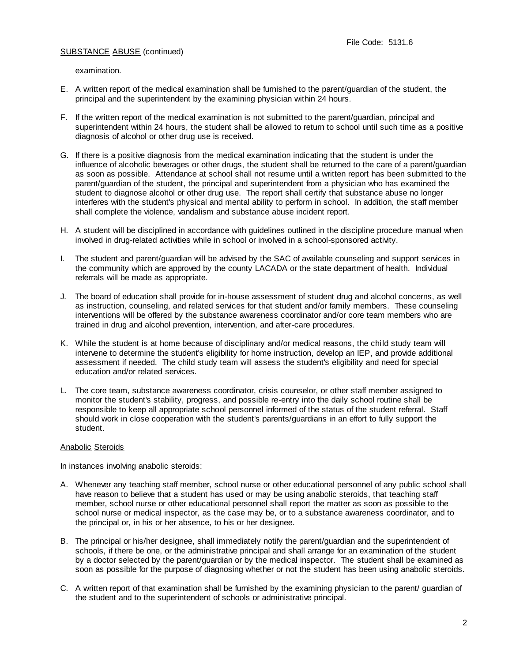examination.

- E. A written report of the medical examination shall be furnished to the parent/guardian of the student, the principal and the superintendent by the examining physician within 24 hours.
- F. If the written report of the medical examination is not submitted to the parent/guardian, principal and superintendent within 24 hours, the student shall be allowed to return to school until such time as a positive diagnosis of alcohol or other drug use is received.
- G. If there is a positive diagnosis from the medical examination indicating that the student is under the influence of alcoholic beverages or other drugs, the student shall be returned to the care of a parent/guardian as soon as possible. Attendance at school shall not resume until a written report has been submitted to the parent/guardian of the student, the principal and superintendent from a physician who has examined the student to diagnose alcohol or other drug use. The report shall certify that substance abuse no longer interferes with the student's physical and mental ability to perform in school. In addition, the staff member shall complete the violence, vandalism and substance abuse incident report.
- H. A student will be disciplined in accordance with guidelines outlined in the discipline procedure manual when involved in drug-related activities while in school or involved in a school-sponsored activity.
- I. The student and parent/guardian will be advised by the SAC of available counseling and support services in the community which are approved by the county LACADA or the state department of health. Individual referrals will be made as appropriate.
- J. The board of education shall provide for in-house assessment of student drug and alcohol concerns, as well as instruction, counseling, and related services for that student and/or family members. These counseling interventions will be offered by the substance awareness coordinator and/or core team members who are trained in drug and alcohol prevention, intervention, and after-care procedures.
- K. While the student is at home because of disciplinary and/or medical reasons, the child study team will intervene to determine the student's eligibility for home instruction, develop an IEP, and provide additional assessment if needed. The child study team will assess the student's eligibility and need for special education and/or related services.
- L. The core team, substance awareness coordinator, crisis counselor, or other staff member assigned to monitor the student's stability, progress, and possible re-entry into the daily school routine shall be responsible to keep all appropriate school personnel informed of the status of the student referral. Staff should work in close cooperation with the student's parents/guardians in an effort to fully support the student.

## Anabolic Steroids

In instances involving anabolic steroids:

- A. Whenever any teaching staff member, school nurse or other educational personnel of any public school shall have reason to believe that a student has used or may be using anabolic steroids, that teaching staff member, school nurse or other educational personnel shall report the matter as soon as possible to the school nurse or medical inspector, as the case may be, or to a substance awareness coordinator, and to the principal or, in his or her absence, to his or her designee.
- B. The principal or his/her designee, shall immediately notify the parent/guardian and the superintendent of schools, if there be one, or the administrative principal and shall arrange for an examination of the student by a doctor selected by the parent/guardian or by the medical inspector. The student shall be examined as soon as possible for the purpose of diagnosing whether or not the student has been using anabolic steroids.
- C. A written report of that examination shall be furnished by the examining physician to the parent/ guardian of the student and to the superintendent of schools or administrative principal.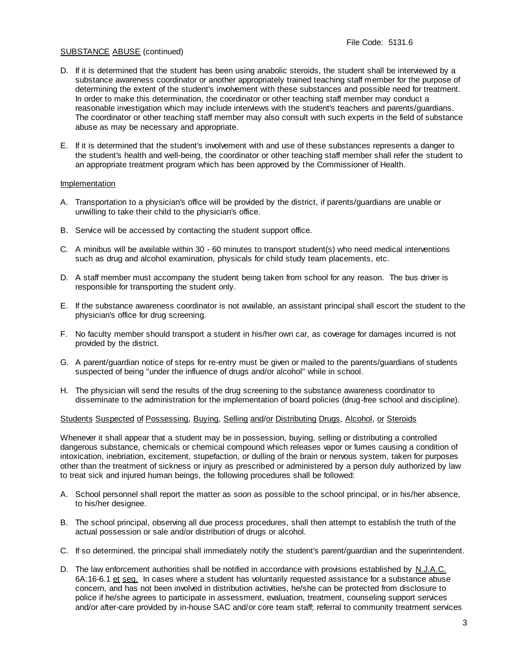- D. If it is determined that the student has been using anabolic steroids, the student shall be interviewed by a substance awareness coordinator or another appropriately trained teaching staff member for the purpose of determining the extent of the student's involvement with these substances and possible need for treatment. In order to make this determination, the coordinator or other teaching staff member may conduct a reasonable investigation which may include interviews with the student's teachers and parents/guardians. The coordinator or other teaching staff member may also consult with such experts in the field of substance abuse as may be necessary and appropriate.
- E. If it is determined that the student's involvement with and use of these substances represents a danger to the student's health and well-being, the coordinator or other teaching staff member shall refer the student to an appropriate treatment program which has been approved by the Commissioner of Health.

## Implementation

- A. Transportation to a physician's office will be provided by the district, if parents/guardians are unable or unwilling to take their child to the physician's office.
- B. Service will be accessed by contacting the student support office.
- C. A minibus will be available within 30 60 minutes to transport student(s) who need medical interventions such as drug and alcohol examination, physicals for child study team placements, etc.
- D. A staff member must accompany the student being taken from school for any reason. The bus driver is responsible for transporting the student only.
- E. If the substance awareness coordinator is not available, an assistant principal shall escort the student to the physician's office for drug screening.
- F. No faculty member should transport a student in his/her own car, as coverage for damages incurred is not provided by the district.
- G. A parent/guardian notice of steps for re-entry must be given or mailed to the parents/guardians of students suspected of being "under the influence of drugs and/or alcohol" while in school.
- H. The physician will send the results of the drug screening to the substance awareness coordinator to disseminate to the administration for the implementation of board policies (drug-free school and discipline).

## Students Suspected of Possessing, Buying, Selling and/or Distributing Drugs, Alcohol, or Steroids

Whenever it shall appear that a student may be in possession, buying, selling or distributing a controlled dangerous substance, chemicals or chemical compound which releases vapor or fumes causing a condition of intoxication, inebriation, excitement, stupefaction, or dulling of the brain or nervous system, taken for purposes other than the treatment of sickness or injury as prescribed or administered by a person duly authorized by law to treat sick and injured human beings, the following procedures shall be followed:

- A. School personnel shall report the matter as soon as possible to the school principal, or in his/her absence, to his/her designee.
- B. The school principal, observing all due process procedures, shall then attempt to establish the truth of the actual possession or sale and/or distribution of drugs or alcohol.
- C. If so determined, the principal shall immediately notify the student's parent/guardian and the superintendent.
- D. The law enforcement authorities shall be notified in accordance with provisions established by N.J.A.C. 6A:16-6.1 et seq. In cases where a student has voluntarily requested assistance for a substance abuse concern, and has not been involved in distribution activities, he/she can be protected from disclosure to police if he/she agrees to participate in assessment, evaluation, treatment, counseling support services and/or after-care provided by in-house SAC and/or core team staff; referral to community treatment services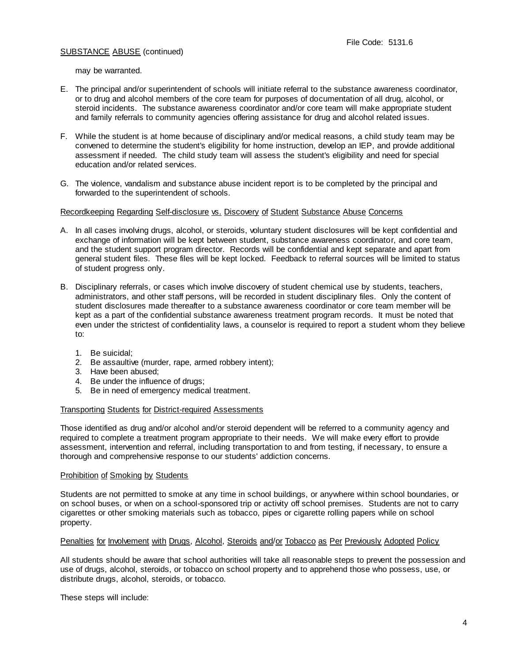may be warranted.

- E. The principal and/or superintendent of schools will initiate referral to the substance awareness coordinator, or to drug and alcohol members of the core team for purposes of documentation of all drug, alcohol, or steroid incidents. The substance awareness coordinator and/or core team will make appropriate student and family referrals to community agencies offering assistance for drug and alcohol related issues.
- F. While the student is at home because of disciplinary and/or medical reasons, a child study team may be convened to determine the student's eligibility for home instruction, develop an IEP, and provide additional assessment if needed. The child study team will assess the student's eligibility and need for special education and/or related services.
- G. The violence, vandalism and substance abuse incident report is to be completed by the principal and forwarded to the superintendent of schools.

## Recordkeeping Regarding Self-disclosure vs. Discovery of Student Substance Abuse Concerns

- A. In all cases involving drugs, alcohol, or steroids, voluntary student disclosures will be kept confidential and exchange of information will be kept between student, substance awareness coordinator, and core team, and the student support program director. Records will be confidential and kept separate and apart from general student files. These files will be kept locked. Feedback to referral sources will be limited to status of student progress only.
- B. Disciplinary referrals, or cases which involve discovery of student chemical use by students, teachers, administrators, and other staff persons, will be recorded in student disciplinary files. Only the content of student disclosures made thereafter to a substance awareness coordinator or core team member will be kept as a part of the confidential substance awareness treatment program records. It must be noted that even under the strictest of confidentiality laws, a counselor is required to report a student whom they believe to:
	- 1. Be suicidal;
	- 2. Be assaultive (murder, rape, armed robbery intent);
	- 3. Have been abused;
	- 4. Be under the influence of drugs;
	- 5. Be in need of emergency medical treatment.

### Transporting Students for District-required Assessments

Those identified as drug and/or alcohol and/or steroid dependent will be referred to a community agency and required to complete a treatment program appropriate to their needs. We will make every effort to provide assessment, intervention and referral, including transportation to and from testing, if necessary, to ensure a thorough and comprehensive response to our students' addiction concerns.

### Prohibition of Smoking by Students

Students are not permitted to smoke at any time in school buildings, or anywhere within school boundaries, or on school buses, or when on a school-sponsored trip or activity off school premises. Students are not to carry cigarettes or other smoking materials such as tobacco, pipes or cigarette rolling papers while on school property.

### Penalties for Involvement with Drugs, Alcohol, Steroids and/or Tobacco as Per Previously Adopted Policy

All students should be aware that school authorities will take all reasonable steps to prevent the possession and use of drugs, alcohol, steroids, or tobacco on school property and to apprehend those who possess, use, or distribute drugs, alcohol, steroids, or tobacco.

These steps will include: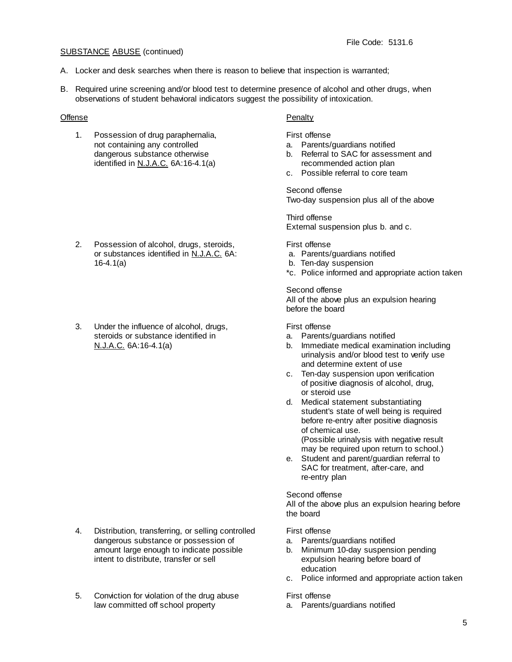- A. Locker and desk searches when there is reason to believe that inspection is warranted;
- B. Required urine screening and/or blood test to determine presence of alcohol and other drugs, when observations of student behavioral indicators suggest the possibility of intoxication.

# Offense Penalty

1. Possession of drug paraphernalia, First offense not containing any controlled a. Parents/guardians notified<br>dangerous substance otherwise b. Referral to SAC for assess identified in N.J.A.C. 6A:16-4.1(a) recommended action plan

- 2. Possession of alcohol, drugs, steroids, First offense or substances identified in N.J.A.C. 6A: a. Parents/guardians notified 16-4.1(a) b. Ten-day suspension
- 3. Under the influence of alcohol, drugs, First offense steroids or substance identified in and a. Parents/guardians notified

- 4. Distribution, transferring, or selling controlled First offense dangerous substance or possession of a. Parents/guardians notified amount large enough to indicate possible b. Minimum 10-day suspension pending<br>intent to distribute, transfer or sell expulsion hearing before board of
- 5. Conviction for violation of the drug abuse First offense law committed off school property a. Parents/guardians notified

- 
- b. Referral to SAC for assessment and
- c. Possible referral to core team

# Second offense

Two-day suspension plus all of the above

Third offense External suspension plus b. and c.

- 
- 
- \*c. Police informed and appropriate action taken

Second offense All of the above plus an expulsion hearing before the board

- 
- N.J.A.C. 6A:16-4.1(a) b. Immediate medical examination including urinalysis and/or blood test to verify use and determine extent of use
	- c. Ten-day suspension upon verification of positive diagnosis of alcohol, drug, or steroid use
	- d. Medical statement substantiating student's state of well being is required before re-entry after positive diagnosis of chemical use. (Possible urinalysis with negative result may be required upon return to school.)
	- e. Student and parent/guardian referral to SAC for treatment, after-care, and re-entry plan

## Second offense

All of the above plus an expulsion hearing before the board

- 
- expulsion hearing before board of education
- c. Police informed and appropriate action taken